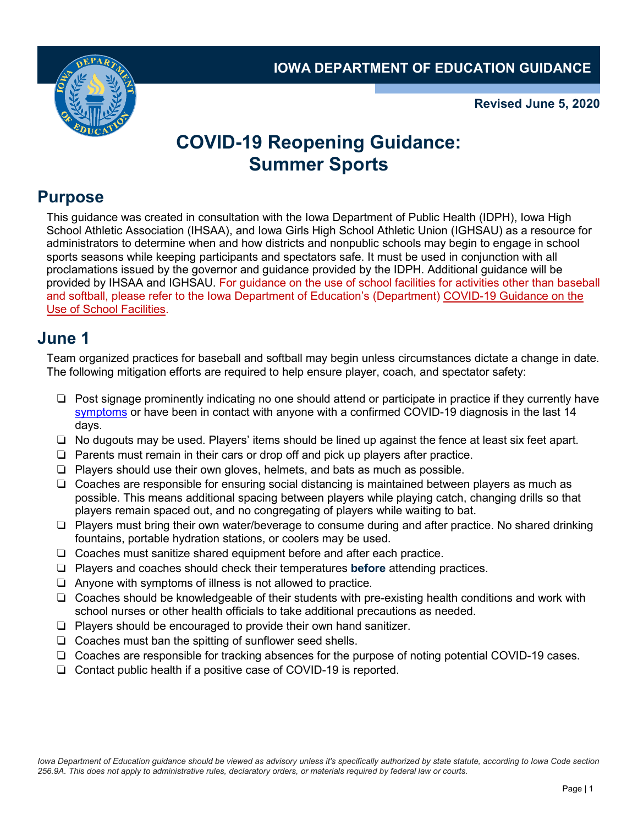**IOWA DEPARTMENT OF EDUCATION GUIDANCE**



**Revised June 5, 2020**

# **COVID-19 Reopening Guidance: Summer Sports**

### **Purpose**

This guidance was created in consultation with the Iowa Department of Public Health (IDPH), Iowa High School Athletic Association (IHSAA), and Iowa Girls High School Athletic Union (IGHSAU) as a resource for administrators to determine when and how districts and nonpublic schools may begin to engage in school sports seasons while keeping participants and spectators safe. It must be used in conjunction with all proclamations issued by the governor and guidance provided by the IDPH. Additional guidance will be provided by IHSAA and IGHSAU. For guidance on the use of school facilities for activities other than baseball and softball, please refer to the Iowa Department of Education's (Department) [COVID-19 Guidance on the](https://educateiowa.gov/documents/pk-12/2020/05/covid-19-guidance-use-school-facilities)  [Use of School Facilities.](https://educateiowa.gov/documents/pk-12/2020/05/covid-19-guidance-use-school-facilities)

#### **June 1**

Team organized practices for baseball and softball may begin unless circumstances dictate a change in date. The following mitigation efforts are required to help ensure player, coach, and spectator safety:

- ❏ Post signage prominently indicating no one should attend or participate in practice if they currently have [symptoms](https://www.cdc.gov/coronavirus/2019-ncov/symptoms-testing/symptoms.html) or have been in contact with anyone with a confirmed COVID-19 diagnosis in the last 14 days.
- ❏ No dugouts may be used. Players' items should be lined up against the fence at least six feet apart.
- ❏ Parents must remain in their cars or drop off and pick up players after practice.
- ❏ Players should use their own gloves, helmets, and bats as much as possible.
- ❏ Coaches are responsible for ensuring social distancing is maintained between players as much as possible. This means additional spacing between players while playing catch, changing drills so that players remain spaced out, and no congregating of players while waiting to bat.
- ❏ Players must bring their own water/beverage to consume during and after practice. No shared drinking fountains, portable hydration stations, or coolers may be used.
- ❏ Coaches must sanitize shared equipment before and after each practice.
- ❏ Players and coaches should check their temperatures **before** attending practices.
- ❏ Anyone with symptoms of illness is not allowed to practice.
- ❏ Coaches should be knowledgeable of their students with pre-existing health conditions and work with school nurses or other health officials to take additional precautions as needed.
- ❏ Players should be encouraged to provide their own hand sanitizer.
- ❏ Coaches must ban the spitting of sunflower seed shells.
- ❏ Coaches are responsible for tracking absences for the purpose of noting potential COVID-19 cases.
- ❏ Contact public health if a positive case of COVID-19 is reported.